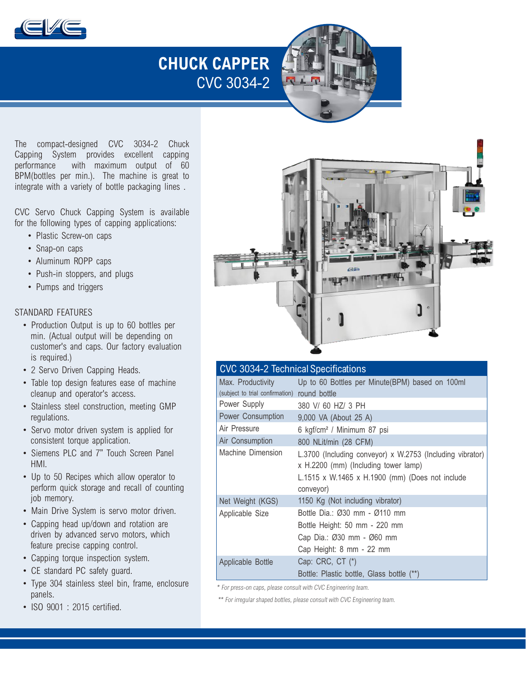

## **CHUCK CAPPER**  CVC 3034-2

The compact-designed CVC 3034-2 Chuck Capping System provides excellent capping<br>
nerformance with maximum output of 60 with maximum output of 60 BPM(bottles per min.). The machine is great to integrate with a variety of bottle packaging lines .

CVC Servo Chuck Capping System is available for the following types of capping applications:

- Plastic Screw-on caps
- Snap-on caps
- Aluminum ROPP caps
- Push-in stoppers, and plugs
- Pumps and triggers

#### STANDARD FEATURES

- Production Output is up to 60 bottles per min. (Actual output will be depending on customer's and caps. Our factory evaluation is required.)
- 2 Servo Driven Capping Heads.
- Table top design features ease of machine cleanup and operator's access.
- Stainless steel construction, meeting GMP regulations.
- Servo motor driven system is applied for consistent torque application.
- Siemens PLC and 7" Touch Screen Panel HMI.
- Up to 50 Recipes which allow operator to perform quick storage and recall of counting job memory.
- Main Drive System is servo motor driven.
- Capping head up/down and rotation are driven by advanced servo motors, which feature precise capping control.
- Capping torque inspection system.
- CE standard PC safety guard.
- Type 304 stainless steel bin, frame, enclosure panels.
- ISO 9001 : 2015 certified.



| <b>CVC 3034-2 Technical Specifications</b>                        |                                                                                                                                                                   |
|-------------------------------------------------------------------|-------------------------------------------------------------------------------------------------------------------------------------------------------------------|
| Max. Productivity<br>(subject to trial confirmation) round bottle | Up to 60 Bottles per Minute(BPM) based on 100ml                                                                                                                   |
| Power Supply                                                      | 380 V/ 60 HZ/ 3 PH                                                                                                                                                |
| Power Consumption                                                 | 9,000 VA (About 25 A)                                                                                                                                             |
| Air Pressure                                                      | 6 kgf/cm <sup>2</sup> / Minimum 87 psi                                                                                                                            |
| Air Consumption                                                   | 800 NLit/min (28 CFM)                                                                                                                                             |
| Machine Dimension                                                 | L.3700 (Including conveyor) x W.2753 (Including vibrator)<br>x H.2200 (mm) (Including tower lamp)<br>L.1515 x W.1465 x H.1900 (mm) (Does not include<br>conveyor) |
| Net Weight (KGS)                                                  | 1150 Kg (Not including vibrator)                                                                                                                                  |
| Applicable Size                                                   | Bottle Dia.: Ø30 mm - Ø110 mm<br>Bottle Height: 50 mm - 220 mm<br>Cap Dia.: Ø30 mm - Ø60 mm<br>Cap Height: 8 mm - 22 mm                                           |
| Applicable Bottle                                                 | Cap: CRC, CT (*)<br>Bottle: Plastic bottle, Glass bottle (**)                                                                                                     |

\* For press-on caps, please consult with CVC Engineering team.

\*\* For irregular shaped bottles, please consult with CVC Engineering team.